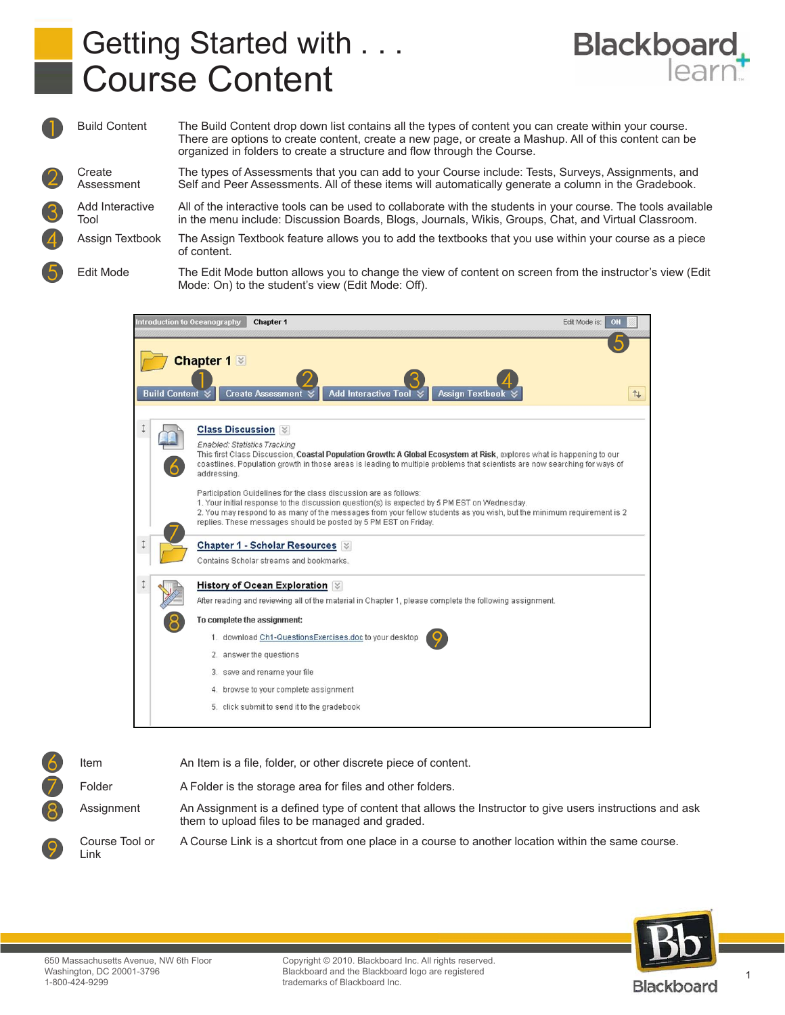## Getting Started with . . . Course Content



Build Content The Build Content drop down list contains all the types of content you can create within your course. There are options to create content, create a new page, or create a Mashup. All of this content can be organized in folders to create a structure and flow through the Course. **Create** Assessment The types of Assessments that you can add to your Course include: Tests, Surveys, Assignments, and Self and Peer Assessments. All of these items will automatically generate a column in the Gradebook. Add Interactive Tool All of the interactive tools can be used to collaborate with the students in your course. The tools available in the menu include: Discussion Boards, Blogs, Journals, Wikis, Groups, Chat, and Virtual Classroom. Assign Textbook The Assign Textbook feature allows you to add the textbooks that you use within your course as a piece of content. Edit Mode The Edit Mode button allows you to change the view of content on screen from the instructor's view (Edit Mode: On) to the student's view (Edit Mode: Off).







Blackboard and the Blackboard logo are registered<br>trademarks of Blackboard Inc. Copyright © 2010. Blackboard Inc. All rights reserved. trademarks of Blackboard Inc.

Blackboard

1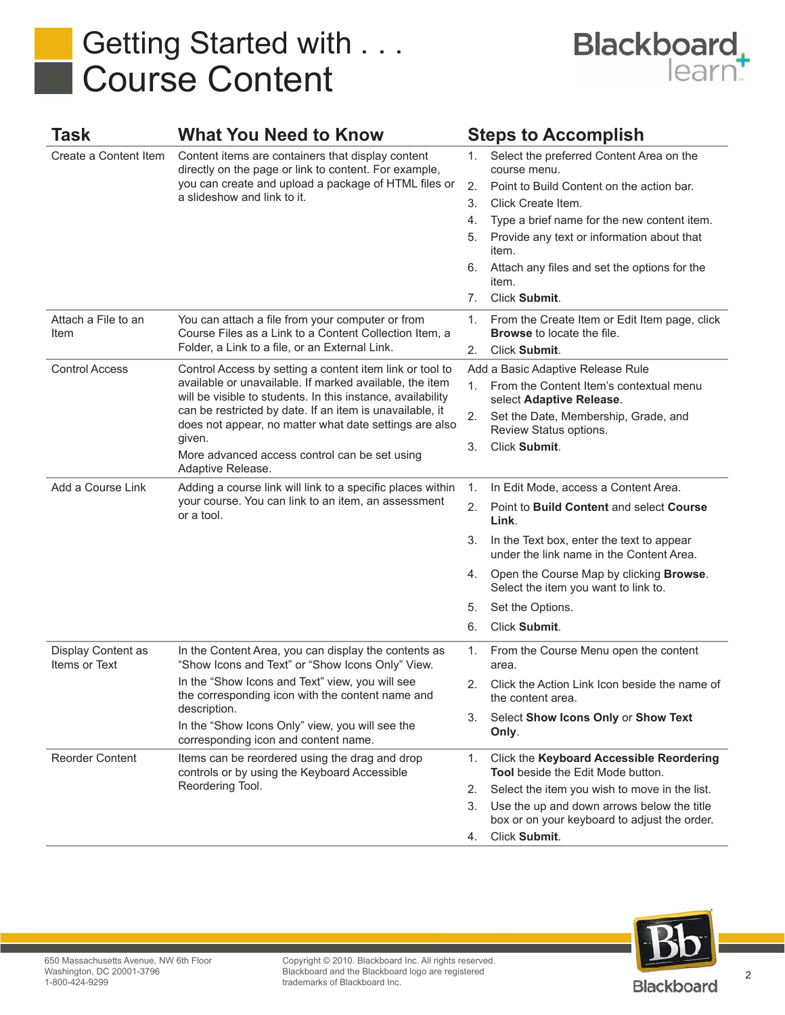## Getting Started with . . . Course Content



| Task                                | <b>What You Need to Know</b>                                                                                                                                                                                                                                                                                                                                                             |    | <b>Steps to Accomplish</b>                                                                 |
|-------------------------------------|------------------------------------------------------------------------------------------------------------------------------------------------------------------------------------------------------------------------------------------------------------------------------------------------------------------------------------------------------------------------------------------|----|--------------------------------------------------------------------------------------------|
| Create a Content Item               | Content items are containers that display content<br>directly on the page or link to content. For example,<br>you can create and upload a package of HTML files or<br>a slideshow and link to it.                                                                                                                                                                                        | 1. | Select the preferred Content Area on the<br>course menu.                                   |
|                                     |                                                                                                                                                                                                                                                                                                                                                                                          | 2. | Point to Build Content on the action bar.                                                  |
|                                     |                                                                                                                                                                                                                                                                                                                                                                                          | 3. | Click Create Item.                                                                         |
|                                     |                                                                                                                                                                                                                                                                                                                                                                                          | 4. | Type a brief name for the new content item.                                                |
|                                     |                                                                                                                                                                                                                                                                                                                                                                                          | 5. | Provide any text or information about that<br>item.                                        |
|                                     |                                                                                                                                                                                                                                                                                                                                                                                          | 6. | Attach any files and set the options for the<br>item.                                      |
|                                     |                                                                                                                                                                                                                                                                                                                                                                                          | 7. | Click Submit.                                                                              |
| Attach a File to an<br>Item         | You can attach a file from your computer or from<br>Course Files as a Link to a Content Collection Item, a<br>Folder, a Link to a file, or an External Link.                                                                                                                                                                                                                             | 1. | From the Create Item or Edit Item page, click<br><b>Browse</b> to locate the file.         |
|                                     |                                                                                                                                                                                                                                                                                                                                                                                          | 2. | Click Submit.                                                                              |
| <b>Control Access</b>               | Control Access by setting a content item link or tool to<br>available or unavailable. If marked available, the item<br>will be visible to students. In this instance, availability<br>can be restricted by date. If an item is unavailable, it<br>does not appear, no matter what date settings are also<br>given.<br>More advanced access control can be set using<br>Adaptive Release. |    | Add a Basic Adaptive Release Rule                                                          |
|                                     |                                                                                                                                                                                                                                                                                                                                                                                          | 1. | From the Content Item's contextual menu<br>select Adaptive Release.                        |
|                                     |                                                                                                                                                                                                                                                                                                                                                                                          | 2. | Set the Date, Membership, Grade, and<br>Review Status options.                             |
|                                     |                                                                                                                                                                                                                                                                                                                                                                                          | 3. | Click Submit.                                                                              |
| Add a Course Link                   | Adding a course link will link to a specific places within<br>your course. You can link to an item, an assessment<br>or a tool.                                                                                                                                                                                                                                                          | 1. | In Edit Mode, access a Content Area.                                                       |
|                                     |                                                                                                                                                                                                                                                                                                                                                                                          | 2. | Point to Build Content and select Course<br>Link.                                          |
|                                     |                                                                                                                                                                                                                                                                                                                                                                                          | 3. | In the Text box, enter the text to appear<br>under the link name in the Content Area.      |
|                                     |                                                                                                                                                                                                                                                                                                                                                                                          | 4. | Open the Course Map by clicking <b>Browse</b> .<br>Select the item you want to link to.    |
|                                     |                                                                                                                                                                                                                                                                                                                                                                                          | 5. | Set the Options.                                                                           |
|                                     |                                                                                                                                                                                                                                                                                                                                                                                          | 6. | Click Submit.                                                                              |
| Display Content as<br>Items or Text | In the Content Area, you can display the contents as<br>"Show Icons and Text" or "Show Icons Only" View.<br>In the "Show Icons and Text" view, you will see<br>the corresponding icon with the content name and<br>description.<br>In the "Show Icons Only" view, you will see the<br>corresponding icon and content name.                                                               | 1. | From the Course Menu open the content<br>area.                                             |
|                                     |                                                                                                                                                                                                                                                                                                                                                                                          | 2. | Click the Action Link Icon beside the name of<br>the content area.                         |
|                                     |                                                                                                                                                                                                                                                                                                                                                                                          | 3. | Select Show Icons Only or Show Text<br>Only.                                               |
| Reorder Content                     | Items can be reordered using the drag and drop<br>controls or by using the Keyboard Accessible<br>Reordering Tool.                                                                                                                                                                                                                                                                       | 1. | Click the Keyboard Accessible Reordering<br>Tool beside the Edit Mode button.              |
|                                     |                                                                                                                                                                                                                                                                                                                                                                                          | 2. | Select the item you wish to move in the list.                                              |
|                                     |                                                                                                                                                                                                                                                                                                                                                                                          | 3. | Use the up and down arrows below the title<br>box or on your keyboard to adjust the order. |
|                                     |                                                                                                                                                                                                                                                                                                                                                                                          | 4. | Click Submit.                                                                              |



Copyright © 2010. Blackboard Inc. All rights reserved. Blackboard and the Blackboard logo are registered trademarks of Blackboard Inc.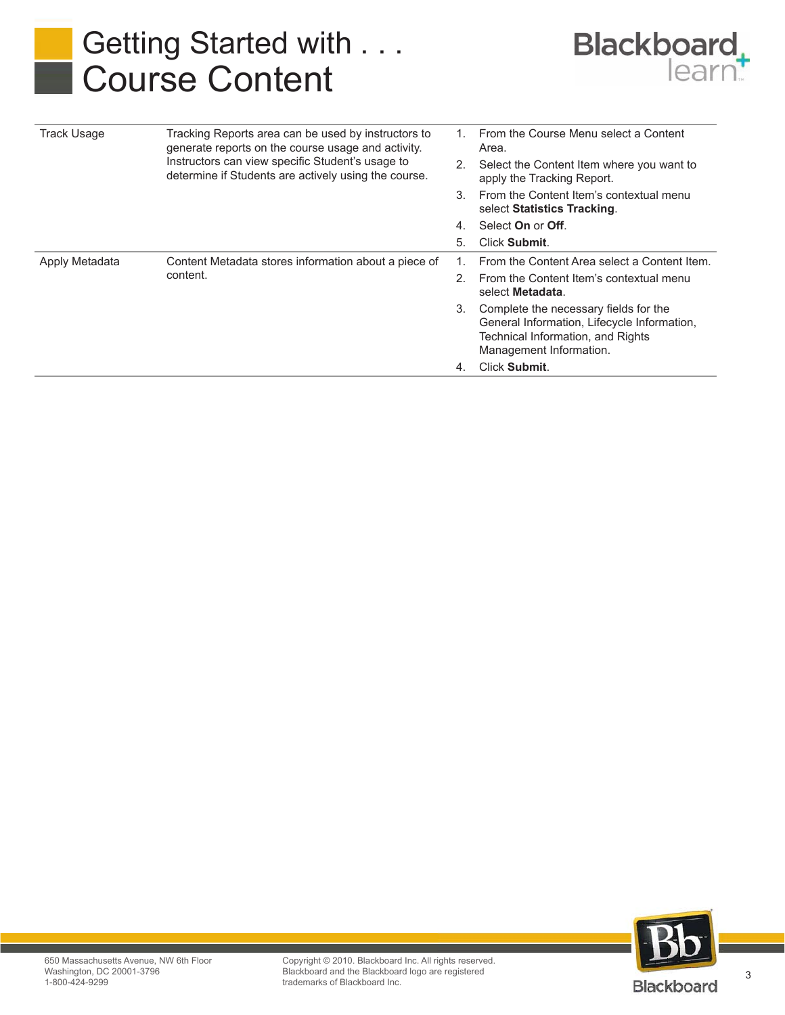## Getting Started with . . . Course Content



| <b>Track Usage</b> | Tracking Reports area can be used by instructors to<br>generate reports on the course usage and activity.<br>Instructors can view specific Student's usage to<br>determine if Students are actively using the course. |         | From the Course Menu select a Content<br>Area.                                                                                                       |
|--------------------|-----------------------------------------------------------------------------------------------------------------------------------------------------------------------------------------------------------------------|---------|------------------------------------------------------------------------------------------------------------------------------------------------------|
|                    |                                                                                                                                                                                                                       | 2.      | Select the Content Item where you want to<br>apply the Tracking Report.                                                                              |
|                    |                                                                                                                                                                                                                       | 3.      | From the Content Item's contextual menu<br>select Statistics Tracking.                                                                               |
|                    |                                                                                                                                                                                                                       | 4.      | Select On or Off.                                                                                                                                    |
|                    |                                                                                                                                                                                                                       | 5.      | Click Submit.                                                                                                                                        |
| Apply Metadata     | Content Metadata stores information about a piece of<br>content.                                                                                                                                                      |         | From the Content Area select a Content Item.                                                                                                         |
|                    |                                                                                                                                                                                                                       | $2_{1}$ | From the Content Item's contextual menu<br>select Metadata.                                                                                          |
|                    |                                                                                                                                                                                                                       | 3.      | Complete the necessary fields for the<br>General Information, Lifecycle Information,<br>Technical Information, and Rights<br>Management Information. |
|                    |                                                                                                                                                                                                                       | 4.      | <b>Click Submit.</b>                                                                                                                                 |



3